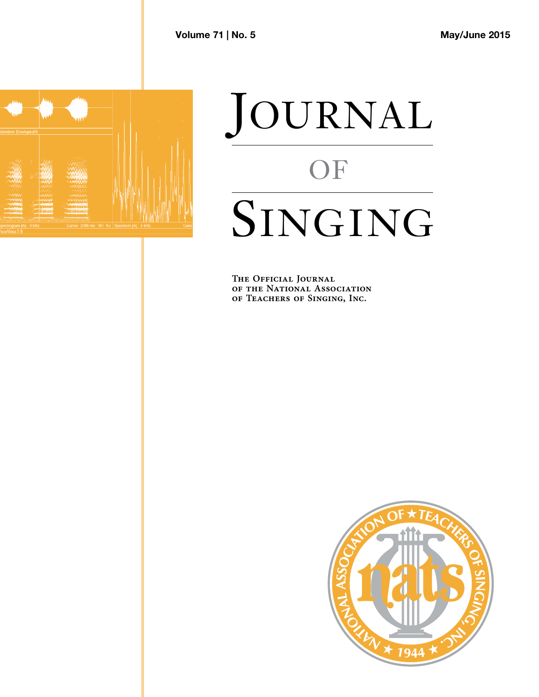

# JOURNAL OF SINGING

**The Official Journal T H E O F F I C I A L JO U R N A L of the National Association of Teachers of Singing, Inc. O F T H E NAT I O N A L AS S O C IAT I O N**

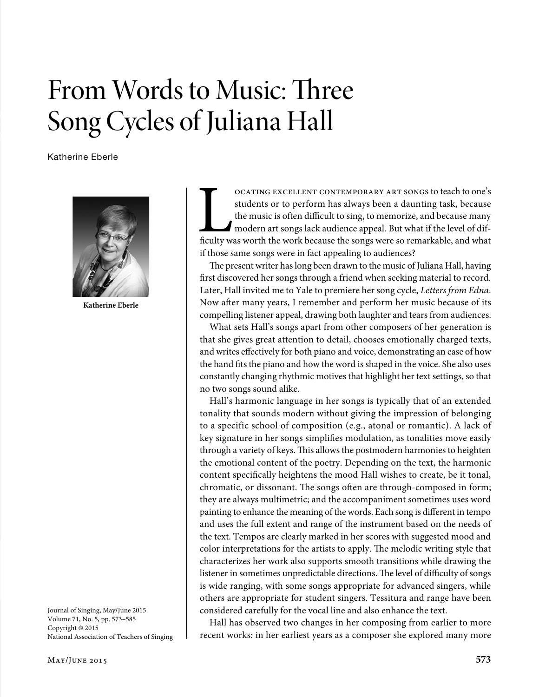# From Words to Music: Three Song Cycles of Juliana Hall

Katherine Eberle



**Katherine Eberle**

Journal of Singing, May/June 2015 Volume 71, No. 5, pp. 573–585 Copyright © 2015 National Association of Teachers of Singing

May/June 2015 **573**

OCATING EXCELLENT CONTEMPORARY ART SONGS to teach to one's students or to perform has always been a daunting task, because the music is often difficult to sing, to memorize, and because many modern art songs lack audience students or to perform has always been a daunting task, because the music is often difficult to sing, to memorize, and because many modern art songs lack audience appeal. But what if the level of difif those same songs were in fact appealing to audiences?

The present writer has long been drawn to the music of Juliana Hall, having first discovered her songs through a friend when seeking material to record. Later, Hall invited me to Yale to premiere her song cycle, *Letters from Edna*. Now after many years, I remember and perform her music because of its compelling listener appeal, drawing both laughter and tears from audiences.

What sets Hall's songs apart from other composers of her generation is that she gives great attention to detail, chooses emotionally charged texts, and writes effectively for both piano and voice, demonstrating an ease of how the hand fits the piano and how the word is shaped in the voice. She also uses constantly changing rhythmic motives that highlight her text settings, so that no two songs sound alike.

Hall's harmonic language in her songs is typically that of an extended tonality that sounds modern without giving the impression of belonging to a specific school of composition (e.g., atonal or romantic). A lack of key signature in her songs simplifies modulation, as tonalities move easily through a variety of keys. This allows the postmodern harmonies to heighten the emotional content of the poetry. Depending on the text, the harmonic content specifically heightens the mood Hall wishes to create, be it tonal, chromatic, or dissonant. The songs often are through-composed in form; they are always multimetric; and the accompaniment sometimes uses word painting to enhance the meaning of the words. Each song is different in tempo and uses the full extent and range of the instrument based on the needs of the text. Tempos are clearly marked in her scores with suggested mood and color interpretations for the artists to apply. The melodic writing style that characterizes her work also supports smooth transitions while drawing the listener in sometimes unpredictable directions. The level of difficulty of songs is wide ranging, with some songs appropriate for advanced singers, while others are appropriate for student singers. Tessitura and range have been considered carefully for the vocal line and also enhance the text.

Hall has observed two changes in her composing from earlier to more recent works: in her earliest years as a composer she explored many more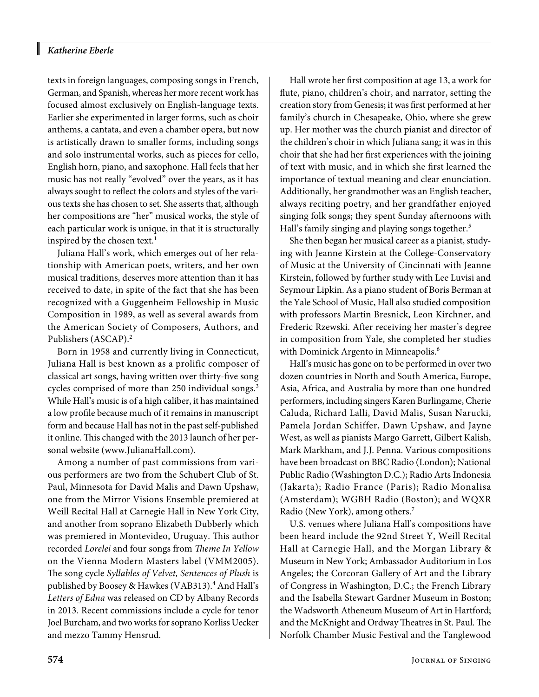Ш

texts in foreign languages, composing songs in French, German, and Spanish, whereas her more recent work has focused almost exclusively on English-language texts. Earlier she experimented in larger forms, such as choir anthems, a cantata, and even a chamber opera, but now is artistically drawn to smaller forms, including songs and solo instrumental works, such as pieces for cello, English horn, piano, and saxophone. Hall feels that her music has not really "evolved" over the years, as it has always sought to reflect the colors and styles of the various texts she has chosen to set. She asserts that, although her compositions are "her" musical works, the style of each particular work is unique, in that it is structurally inspired by the chosen text.<sup>1</sup>

Juliana Hall's work, which emerges out of her relationship with American poets, writers, and her own musical traditions, deserves more attention than it has received to date, in spite of the fact that she has been recognized with a Guggenheim Fellowship in Music Composition in 1989, as well as several awards from the American Society of Composers, Authors, and Publishers (ASCAP).2

Born in 1958 and currently living in Connecticut, Juliana Hall is best known as a prolific composer of classical art songs, having written over thirty-five song cycles comprised of more than 250 individual songs.<sup>3</sup> While Hall's music is of a high caliber, it has maintained a low profile because much of it remains in manuscript form and because Hall has not in the past self-published it online. This changed with the 2013 launch of her personal website (<www.JulianaHall.com>).

Among a number of past commissions from various performers are two from the Schubert Club of St. Paul, Minnesota for David Malis and Dawn Upshaw, one from the Mirror Visions Ensemble premiered at Weill Recital Hall at Carnegie Hall in New York City, and another from soprano Elizabeth Dubberly which was premiered in Montevideo, Uruguay. This author recorded *Lorelei* and four songs from *Theme In Yellow* on the Vienna Modern Masters label (VMM2005). The song cycle *Syllables of Velvet, Sentences of Plush* is published by Boosey & Hawkes (VAB313).<sup>4</sup> And Hall's *Letters of Edna* was released on CD by Albany Records in 2013. Recent commissions include a cycle for tenor Joel Burcham, and two works for soprano Korliss Uecker and mezzo Tammy Hensrud.

Hall wrote her first composition at age 13, a work for flute, piano, children's choir, and narrator, setting the creation story from Genesis; it was first performed at her family's church in Chesapeake, Ohio, where she grew up. Her mother was the church pianist and director of the children's choir in which Juliana sang; it was in this choir that she had her first experiences with the joining of text with music, and in which she first learned the importance of textual meaning and clear enunciation. Additionally, her grandmother was an English teacher, always reciting poetry, and her grandfather enjoyed singing folk songs; they spent Sunday afternoons with Hall's family singing and playing songs together.<sup>5</sup>

She then began her musical career as a pianist, studying with Jeanne Kirstein at the College-Conservatory of Music at the University of Cincinnati with Jeanne Kirstein, followed by further study with Lee Luvisi and Seymour Lipkin. As a piano student of Boris Berman at the Yale School of Music, Hall also studied composition with professors Martin Bresnick, Leon Kirchner, and Frederic Rzewski. After receiving her master's degree in composition from Yale, she completed her studies with Dominick Argento in Minneapolis.<sup>6</sup>

Hall's music has gone on to be performed in over two dozen countries in North and South America, Europe, Asia, Africa, and Australia by more than one hundred performers, including singers Karen Burlingame, Cherie Caluda, Richard Lalli, David Malis, Susan Narucki, Pamela Jordan Schiffer, Dawn Upshaw, and Jayne West, as well as pianists Margo Garrett, Gilbert Kalish, Mark Markham, and J.J. Penna. Various compositions have been broadcast on BBC Radio (London); National Public Radio (Washington D.C.); Radio Arts Indonesia (Jakarta); Radio France (Paris); Radio Monalisa (Amsterdam); WGBH Radio (Boston); and WQXR Radio (New York), among others.7

U.S. venues where Juliana Hall's compositions have been heard include the 92nd Street Y, Weill Recital Hall at Carnegie Hall, and the Morgan Library & Museum in New York; Ambassador Auditorium in Los Angeles; the Corcoran Gallery of Art and the Library of Congress in Washington, D.C.; the French Library and the Isabella Stewart Gardner Museum in Boston; the Wadsworth Atheneum Museum of Art in Hartford; and the McKnight and Ordway Theatres in St. Paul. The Norfolk Chamber Music Festival and the Tanglewood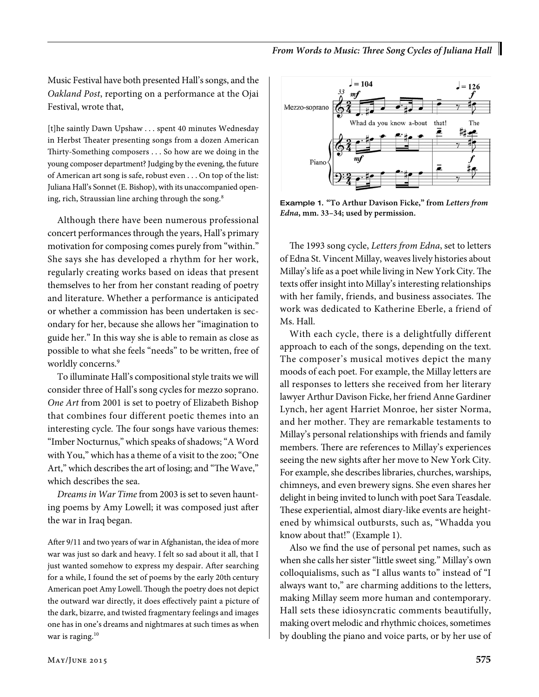Music Festival have both presented Hall's songs, and the *Oakland Post*, reporting on a performance at the Ojai Festival, wrote that,

[t]he saintly Dawn Upshaw . . . spent 40 minutes Wednesday in Herbst Theater presenting songs from a dozen American Thirty-Something composers . . . So how are we doing in the young composer department? Judging by the evening, the future of American art song is safe, robust even . . . On top of the list: Juliana Hall's Sonnet (E. Bishop), with its unaccompanied opening, rich, Straussian line arching through the song.<sup>8</sup>

Although there have been numerous professional concert performances through the years, Hall's primary motivation for composing comes purely from "within." She says she has developed a rhythm for her work, regularly creating works based on ideas that present themselves to her from her constant reading of poetry and literature. Whether a performance is anticipated or whether a commission has been undertaken is secondary for her, because she allows her "imagination to guide her." In this way she is able to remain as close as possible to what she feels "needs" to be written, free of worldly concerns.<sup>9</sup>

To illuminate Hall's compositional style traits we will consider three of Hall's song cycles for mezzo soprano. *One Art* from 2001 is set to poetry of Elizabeth Bishop that combines four different poetic themes into an interesting cycle*.* The four songs have various themes: "Imber Nocturnus," which speaks of shadows; "A Word with You," which has a theme of a visit to the zoo; "One Art," which describes the art of losing; and "The Wave," which describes the sea.

*Dreams in War Time* from 2003 is set to seven haunting poems by Amy Lowell; it was composed just after the war in Iraq began.

After 9/11 and two years of war in Afghanistan, the idea of more war was just so dark and heavy. I felt so sad about it all, that I just wanted somehow to express my despair. After searching for a while, I found the set of poems by the early 20th century American poet Amy Lowell. Though the poetry does not depict the outward war directly, it does effectively paint a picture of the dark, bizarre, and twisted fragmentary feelings and images one has in one's dreams and nightmares at such times as when war is raging.<sup>10</sup>



Example 1. **"To Arthur Davison Ficke," from** *Letters from Edna***, mm. 33–34; used by permission.**

The 1993 song cycle, *Letters from Edna*, set to letters of Edna St. Vincent Millay, weaves lively histories about Millay's life as a poet while living in New York City. The texts offer insight into Millay's interesting relationships with her family, friends, and business associates. The work was dedicated to Katherine Eberle, a friend of Ms. Hall.

With each cycle, there is a delightfully different approach to each of the songs, depending on the text. The composer's musical motives depict the many moods of each poet. For example, the Millay letters are all responses to letters she received from her literary lawyer Arthur Davison Ficke, her friend Anne Gardiner Lynch, her agent Harriet Monroe, her sister Norma, and her mother. They are remarkable testaments to Millay's personal relationships with friends and family members. There are references to Millay's experiences seeing the new sights after her move to New York City. For example, she describes libraries, churches, warships, chimneys, and even brewery signs. She even shares her delight in being invited to lunch with poet Sara Teasdale. These experiential, almost diary-like events are heightened by whimsical outbursts, such as, "Whadda you know about that!" (Example 1).

Also we find the use of personal pet names, such as when she calls her sister "little sweet sing." Millay's own colloquialisms, such as "I allus wants to" instead of "I always want to," are charming additions to the letters, making Millay seem more human and contemporary. Hall sets these idiosyncratic comments beautifully, making overt melodic and rhythmic choices, sometimes by doubling the piano and voice parts, or by her use of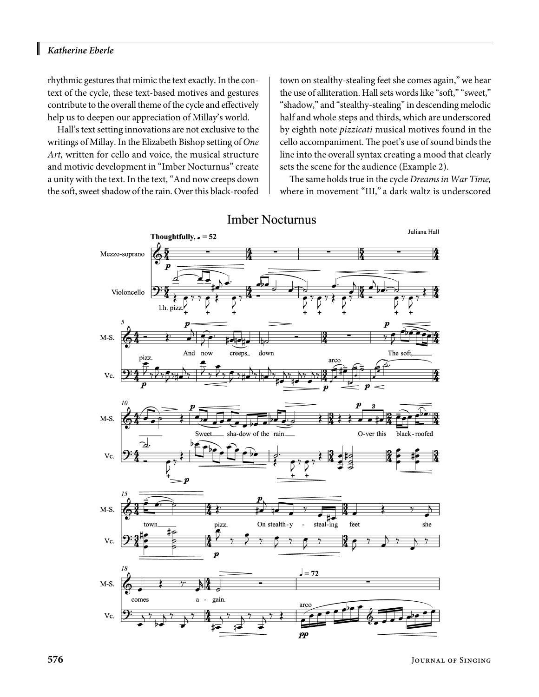I

rhythmic gestures that mimic the text exactly. In the context of the cycle, these text-based motives and gestures contribute to the overall theme of the cycle and effectively help us to deepen our appreciation of Millay's world.

Hall's text setting innovations are not exclusive to the writings of Millay. In the Elizabeth Bishop setting of *One Art,* written for cello and voice, the musical structure and motivic development in "Imber Nocturnus" create a unity with the text. In the text, "And now creeps down the soft, sweet shadow of the rain. Over this black-roofed

town on stealthy-stealing feet she comes again," we hear the use of alliteration. Hall sets words like "soft," "sweet," "shadow," and "stealthy-stealing" in descending melodic half and whole steps and thirds, which are underscored by eighth note *pizzicati* musical motives found in the cello accompaniment. The poet's use of sound binds the line into the overall syntax creating a mood that clearly sets the scene for the audience (Example 2).

The same holds true in the cycle *Dreams in War Time,* where in movement "III*,"* a dark waltz is underscored



### **Imber Nocturnus**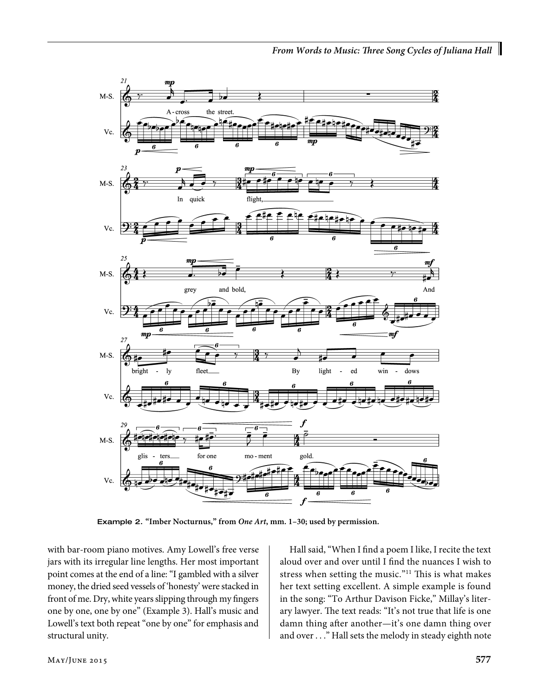

Example 2. **"Imber Nocturnus," from** *One Art***, mm. 1–30; used by permission.**

with bar-room piano motives. Amy Lowell's free verse jars with its irregular line lengths. Her most important point comes at the end of a line: "I gambled with a silver money, the dried seed vessels of 'honesty' were stacked in front of me. Dry, white years slipping through my fingers one by one, one by one" (Example 3). Hall's music and Lowell's text both repeat "one by one" for emphasis and structural unity.

Hall said, "When I find a poem I like, I recite the text aloud over and over until I find the nuances I wish to stress when setting the music."11 This is what makes her text setting excellent. A simple example is found in the song: "To Arthur Davison Ficke," Millay's literary lawyer. The text reads: "It's not true that life is one damn thing after another—it's one damn thing over and over . . ." Hall sets the melody in steady eighth note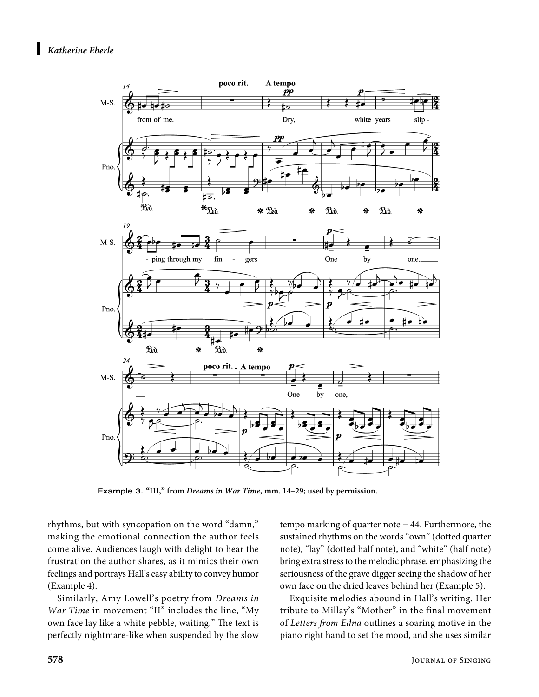I



Example 3. **"III," from** *Dreams in War Time***, mm. 14–29; used by permission.**

rhythms, but with syncopation on the word "damn," making the emotional connection the author feels come alive. Audiences laugh with delight to hear the frustration the author shares, as it mimics their own feelings and portrays Hall's easy ability to convey humor (Example 4).

Similarly, Amy Lowell's poetry from *Dreams in War Time* in movement "II" includes the line, "My own face lay like a white pebble, waiting." The text is perfectly nightmare-like when suspended by the slow

tempo marking of quarter note = 44. Furthermore, the sustained rhythms on the words "own" (dotted quarter note), "lay" (dotted half note), and "white" (half note) bring extra stress to the melodic phrase, emphasizing the seriousness of the grave digger seeing the shadow of her own face on the dried leaves behind her (Example 5).

Exquisite melodies abound in Hall's writing. Her tribute to Millay's "Mother" in the final movement of *Letters from Edna* outlines a soaring motive in the piano right hand to set the mood, and she uses similar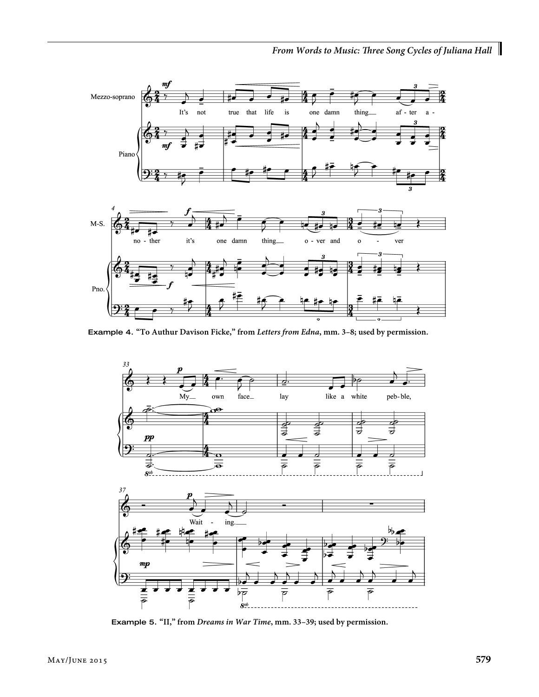

Example 4. **"To Authur Davison Ficke," from** *Letters from Edna***, mm. 3–8; used by permission.**



Example 5. **"II," from** *Dreams in War Time***, mm. 33–39; used by permission.**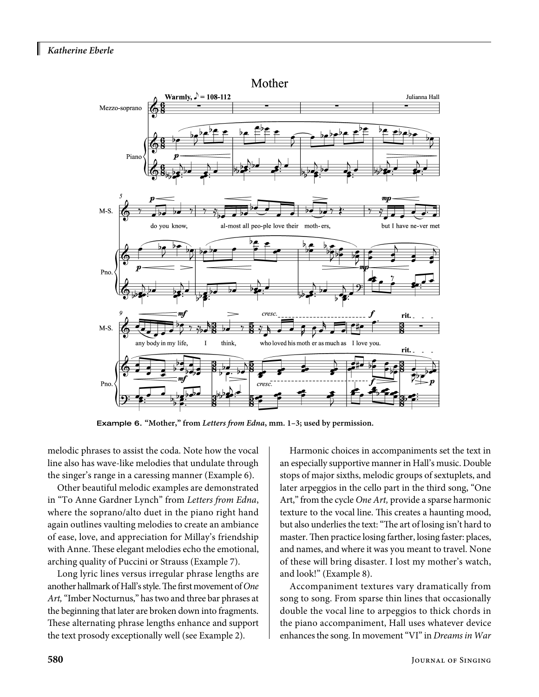I



Example 6. **"Mother," from** *Letters from Edna***, mm. 1–3; used by permission.**

melodic phrases to assist the coda. Note how the vocal line also has wave-like melodies that undulate through the singer's range in a caressing manner (Example 6).

Other beautiful melodic examples are demonstrated in "To Anne Gardner Lynch" from *Letters from Edna*, where the soprano/alto duet in the piano right hand again outlines vaulting melodies to create an ambiance of ease, love, and appreciation for Millay's friendship with Anne. These elegant melodies echo the emotional, arching quality of Puccini or Strauss (Example 7).

Long lyric lines versus irregular phrase lengths are another hallmark of Hall's style. The first movement of *One Art,* "Imber Nocturnus," has two and three bar phrases at the beginning that later are broken down into fragments. These alternating phrase lengths enhance and support the text prosody exceptionally well (see Example 2).

Harmonic choices in accompaniments set the text in an especially supportive manner in Hall's music. Double stops of major sixths, melodic groups of sextuplets, and later arpeggios in the cello part in the third song, "One Art," from the cycle *One Art,* provide a sparse harmonic texture to the vocal line. This creates a haunting mood, but also underlies the text: "The art of losing isn't hard to master. Then practice losing farther, losing faster: places, and names, and where it was you meant to travel. None of these will bring disaster. I lost my mother's watch, and look!" (Example 8).

Accompaniment textures vary dramatically from song to song. From sparse thin lines that occasionally double the vocal line to arpeggios to thick chords in the piano accompaniment, Hall uses whatever device enhances the song. In movement "VI" in *Dreams in War*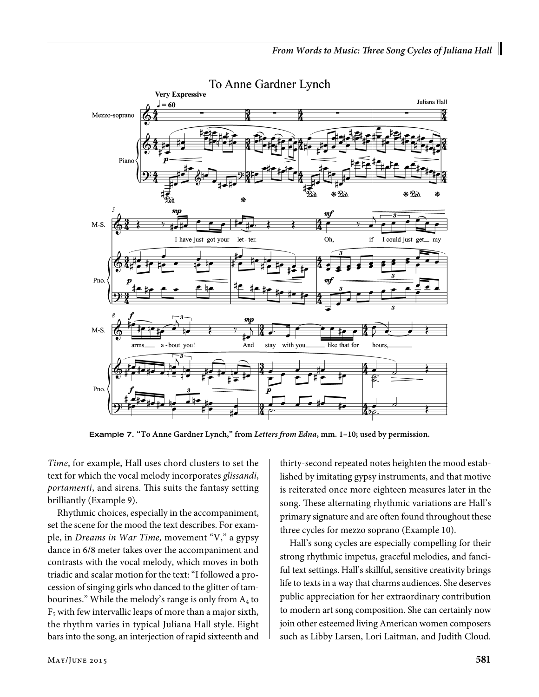

Example 7. **"To Anne Gardner Lynch," from** *Letters from Edna***, mm. 1–10; used by permission.**

*Time*, for example, Hall uses chord clusters to set the text for which the vocal melody incorporates *glissandi*, *portamenti*, and sirens. This suits the fantasy setting brilliantly (Example 9).

Rhythmic choices, especially in the accompaniment, set the scene for the mood the text describes. For example, in *Dreams in War Time,* movement "V," a gypsy dance in 6/8 meter takes over the accompaniment and contrasts with the vocal melody, which moves in both triadic and scalar motion for the text: "I followed a procession of singing girls who danced to the glitter of tambourines." While the melody's range is only from  $A_4$  to  $F<sub>5</sub>$  with few intervallic leaps of more than a major sixth, the rhythm varies in typical Juliana Hall style. Eight bars into the song, an interjection of rapid sixteenth and

thirty-second repeated notes heighten the mood established by imitating gypsy instruments, and that motive is reiterated once more eighteen measures later in the song. These alternating rhythmic variations are Hall's primary signature and are often found throughout these three cycles for mezzo soprano (Example 10).

Hall's song cycles are especially compelling for their strong rhythmic impetus, graceful melodies, and fanciful text settings. Hall's skillful, sensitive creativity brings life to texts in a way that charms audiences. She deserves public appreciation for her extraordinary contribution to modern art song composition. She can certainly now join other esteemed living American women composers such as Libby Larsen, Lori Laitman, and Judith Cloud.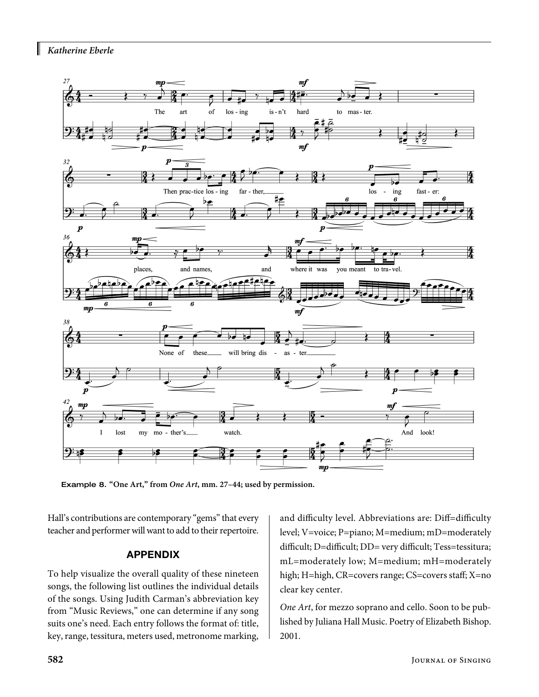

Example 8. **"One Art," from** *One Art***, mm. 27–44; used by permission.**

Hall's contributions are contemporary "gems" that every teacher and performer will want to add to their repertoire.

#### APPENDIX

To help visualize the overall quality of these nineteen songs, the following list outlines the individual details of the songs. Using Judith Carman's abbreviation key from "Music Reviews," one can determine if any song suits one's need. Each entry follows the format of: title, key, range, tessitura, meters used, metronome marking,

and difficulty level. Abbreviations are: Diff=difficulty level; V=voice; P=piano; M=medium; mD=moderately difficult; D=difficult; DD= very difficult; Tess=tessitura; mL=moderately low; M=medium; mH=moderately high; H=high, CR=covers range; CS=covers staff; X=no clear key center.

*One Art*, for mezzo soprano and cello. Soon to be published by Juliana Hall Music. Poetry of Elizabeth Bishop. 2001.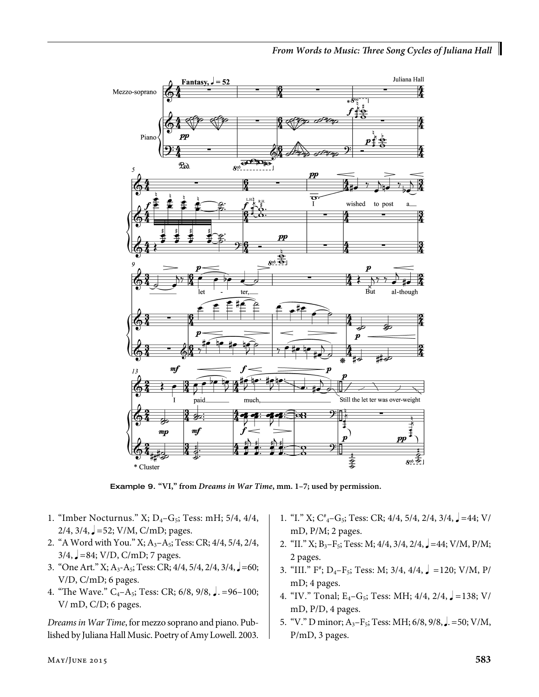

Example 9. **"VI," from** *Dreams in War Time***, mm. 1–7; used by permission.**

- 1. "Imber Nocturnus." X;  $D_4-G_5$ ; Tess: mH; 5/4, 4/4,  $2/4$ ,  $3/4$ ,  $=52$ ; V/M, C/mD; pages.
- 2. "A Word with You."  $X; A_3-A_5; Tess: CR; 4/4, 5/4, 2/4,$ 3/4,  =84; V/D, C/mD; 7 pages.
- 3. "One Art." X; A<sub>3</sub>-A<sub>5</sub>; Tess: CR;  $4/4$ ,  $5/4$ ,  $2/4$ ,  $3/4$ ,  $=60$ ; V/D, C/mD; 6 pages.
- 4. "The Wave."  $C_4 A_5$ ; Tess: CR; 6/8, 9/8,  $\sqrt{0.26}$ . =96-100; V/ mD, C/D; 6 pages.

*Dreams in War Time*, for mezzo soprano and piano. Pub lished by Juliana Hall Music. Poetry of Amy Lowell. 2003.

- 1. "I." X;  $C_{4}^{*}$ –G<sub>5</sub>; Tess: CR; 4/4, 5/4, 2/4, 3/4,  $\sqrt{ }$  =44; V/ mD, P/M; 2 pages.
- 2. "II." X; B<sub>3</sub>-F<sub>5</sub>; Tess: M; 4/4, 3/4, 2/4,  $\sqrt{=}$  =44; V/M, P/M; 2 pages.
- 3. "III."  $F^*$ ;  $D_4 F_5$ ; Tess: M; 3/4, 4/4,  $\sqrt{ } = 120$ ; V/M, P/ mD; 4 pages.
- 4. "IV." Tonal; E<sub>4</sub>-G<sub>5</sub>; Tess: MH; 4/4, 2/4,  $\sqrt{$ =138; V/ mD, P/D, 4 pages.
- 5. "V." D minor;  $A_3$ -F<sub>5</sub>; Tess: MH; 6/8, 9/8,  $\Box$  =50; V/M, P/mD, 3 pages.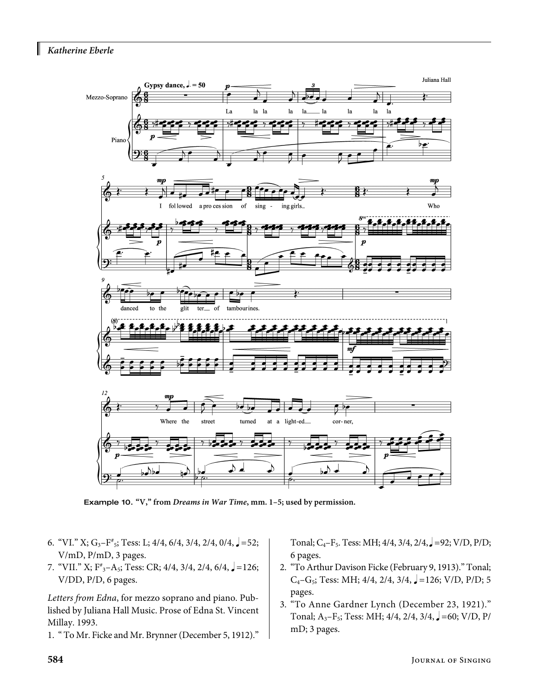

Example 10. **"V," from** *Dreams in War Time***, mm. 1–5; used by permission.**

- 6. "VI." X;  $G_3$ - $F^*$ <sub>5</sub>; Tess: L; 4/4, 6/4, 3/4, 2/4, 0/4,  $\sqrt{=}$ =52; V/mD, P/mD, 3 pages.
- 7. "VII." X;  $F^*_{3}$ -A<sub>5</sub>; Tess: CR; 4/4, 3/4, 2/4, 6/4,  $\Box$  = 126; V/DD, P/D, 6 pages.

Letters from Edna, for mezzo soprano and piano. Published by Juliana Hall Music. Prose of Edna St. Vincent Millay. 1993.

1. " To Mr. Ficke and Mr. Brynner (December 5, 1912)."

Tonal; C<sub>4</sub>-F<sub>5</sub>. Tess: MH; 4/4, 3/4, 2/4,  $\sqrt{=}$  =92; V/D, P/D; 6 pages.

- 2. "To Arthur Davison Ficke (February 9, 1913)." Tonal;  $C_4$ – $G_5$ ; Tess: MH; 4/4, 2/4, 3/4,  $\sqrt{=}$  =126; V/D, P/D; 5 pages.
- 3. "To Anne Gardner Lynch (December 23, 1921)." Tonal;  $A_3$ – $F_5$ ; Tess: MH; 4/4, 2/4, 3/4,  $\sqrt{=}$ =60; V/D, P/ mD; 3 pages.